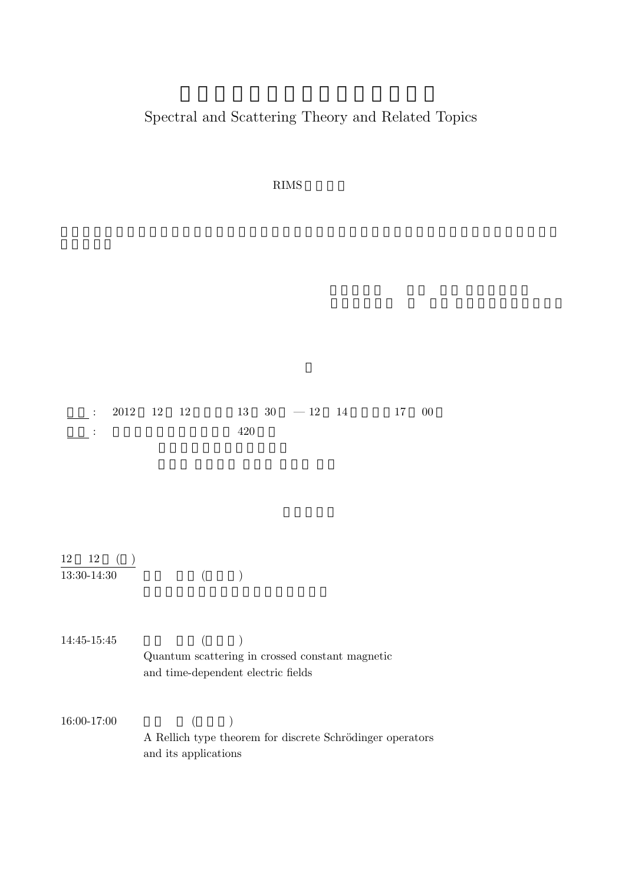## Spectral and Scattering Theory and Related Topics

 $\rm RIMS$ 

|                               | $2012$ 12 12                                                                                      |         | $13 \quad 30 \quad -12 \quad 14$ | 17<br>$00\,$ |
|-------------------------------|---------------------------------------------------------------------------------------------------|---------|----------------------------------|--------------|
|                               |                                                                                                   | 420     |                                  |              |
|                               |                                                                                                   |         |                                  |              |
|                               |                                                                                                   |         |                                  |              |
| $12$ ( )<br>12<br>13:30-14:30 | $\left($                                                                                          |         |                                  |              |
| 14:45-15:45                   | $\left($<br>Quantum scattering in crossed constant magnetic<br>and time-dependent electric fields | $\big)$ |                                  |              |
| 16:00-17:00                   | $\overline{\phantom{a}}$<br>$\left($<br>A Rellich type theorem for discrete Schrödinger operators |         |                                  |              |
|                               | and its applications                                                                              |         |                                  |              |